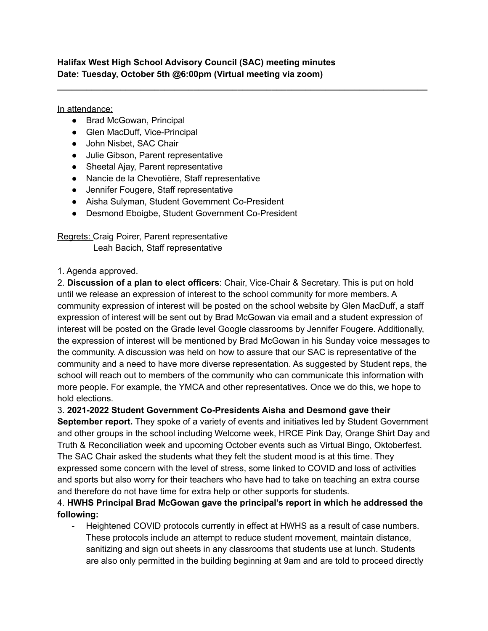**Halifax West High School Advisory Council (SAC) meeting minutes Date: Tuesday, October 5th @6:00pm (Virtual meeting via zoom)**

**\_\_\_\_\_\_\_\_\_\_\_\_\_\_\_\_\_\_\_\_\_\_\_\_\_\_\_\_\_\_\_\_\_\_\_\_\_\_\_\_\_\_\_\_\_\_\_\_\_\_\_\_\_\_\_\_\_\_\_\_\_\_\_\_\_\_\_\_\_\_\_\_\_\_\_\_**

In attendance:

- Brad McGowan, Principal
- Glen MacDuff, Vice-Principal
- John Nisbet, SAC Chair
- Julie Gibson, Parent representative
- Sheetal Ajay, Parent representative
- Nancie de la Chevotière, Staff representative
- Jennifer Fougere, Staff representative
- Aisha Sulyman, Student Government Co-President
- Desmond Eboigbe, Student Government Co-President

Regrets: Craig Poirer, Parent representative Leah Bacich, Staff representative

## 1. Agenda approved.

2. **Discussion of a plan to elect officers**: Chair, Vice-Chair & Secretary. This is put on hold until we release an expression of interest to the school community for more members. A community expression of interest will be posted on the school website by Glen MacDuff, a staff expression of interest will be sent out by Brad McGowan via email and a student expression of interest will be posted on the Grade level Google classrooms by Jennifer Fougere. Additionally, the expression of interest will be mentioned by Brad McGowan in his Sunday voice messages to the community. A discussion was held on how to assure that our SAC is representative of the community and a need to have more diverse representation. As suggested by Student reps, the school will reach out to members of the community who can communicate this information with more people. For example, the YMCA and other representatives. Once we do this, we hope to hold elections.

3. **2021-2022 Student Government Co-Presidents Aisha and Desmond gave their**

**September report.** They spoke of a variety of events and initiatives led by Student Government and other groups in the school including Welcome week, HRCE Pink Day, Orange Shirt Day and Truth & Reconciliation week and upcoming October events such as Virtual Bingo, Oktoberfest. The SAC Chair asked the students what they felt the student mood is at this time. They expressed some concern with the level of stress, some linked to COVID and loss of activities and sports but also worry for their teachers who have had to take on teaching an extra course and therefore do not have time for extra help or other supports for students.

## 4. **HWHS Principal Brad McGowan gave the principal's report in which he addressed the following:**

- Heightened COVID protocols currently in effect at HWHS as a result of case numbers. These protocols include an attempt to reduce student movement, maintain distance, sanitizing and sign out sheets in any classrooms that students use at lunch. Students are also only permitted in the building beginning at 9am and are told to proceed directly